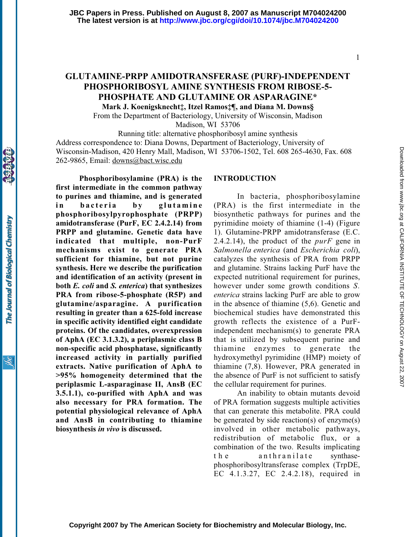# GLUTAMINE-PRPP AMIDOTRANSFERASE (PURF)-INDEPENDENT PHOSPHORIBOSYL AMINE SYNTHESIS FROM RIBOSE-5- PHOSPHATE AND GLUTAMINE OR ASPARAGINE\*

Mark J. Koenigsknecht‡, Itzel Ramos‡¶, and Diana M. Downs§

From the Department of Bacteriology, University of Wisconsin, Madison Madison, WI 53706

Running title: alternative phosphoribosyl amine synthesis Address correspondence to: Diana Downs, Department of Bacteriology, University of Wisconsin-Madison, 420 Henry Mall, Madison, WI 53706-1502, Tel. 608 265-4630, Fax. 608 262-9865, Email: downs@bact.wisc.edu

Phosphoribosylamine (PRA) is the first intermediate in the common pathway to purines and thiamine, and is generated in bacteria by glutamine phosphoribosylpyrophosphate (PRPP) amidotransferase (PurF, EC 2.4.2.14) from PRPP and glutamine. Genetic data have indicated that multiple, non-PurF mechanisms exist to generate PRA sufficient for thiamine, but not purine synthesis. Here we describe the purification and identification of an activity (present in both E. coli and S. enterica) that synthesizes PRA from ribose-5-phosphate (R5P) and glutamine/asparagine. A purification resulting in greater than a 625-fold increase in specific activity identified eight candidate proteins. Of the candidates, overexpression of AphA (EC 3.1.3.2), a periplasmic class B non-specific acid phosphatase, significantly increased activity in partially purified extracts. Native purification of AphA to >95% homogeneity determined that the periplasmic L-asparaginase II, AnsB (EC 3.5.1.1), co-purified with AphA and was also necessary for PRA formation. The potential physiological relevance of AphA and AnsB in contributing to thiamine biosynthesis in vivo is discussed.

### INTRODUCTION

In bacteria, phosphoribosylamine (PRA) is the first intermediate in the biosynthetic pathways for purines and the pyrimidine moiety of thiamine (1-4) (Figure 1). Glutamine-PRPP amidotransferase (E.C. 2.4.2.14), the product of the *purF* gene in Salmonella enterica (and Escherichia coli), catalyzes the synthesis of PRA from PRPP and glutamine. Strains lacking PurF have the expected nutritional requirement for purines, however under some growth conditions S. enterica strains lacking PurF are able to grow in the absence of thiamine (5,6). Genetic and biochemical studies have demonstrated this growth reflects the existence of a PurFindependent mechanism(s) to generate PRA that is utilized by subsequent purine and thiamine enzymes to generate the hydroxymethyl pyrimidine (HMP) moiety of thiamine (7,8). However, PRA generated in the absence of PurF is not sufficient to satisfy the cellular requirement for purines.

An inability to obtain mutants devoid of PRA formation suggests multiple activities that can generate this metabolite. PRA could be generated by side reaction(s) of enzyme(s) involved in other metabolic pathways, redistribution of metabolic flux, or a combination of the two. Results implicating t h e anthranilate synthasephosphoribosyltransferase complex (TrpDE, EC 4.1.3.27, EC 2.4.2.18), required in

1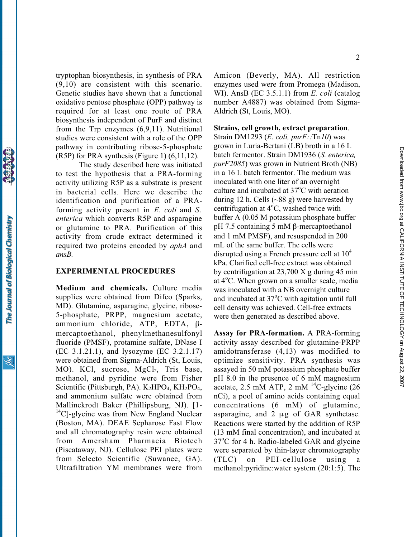tryptophan biosynthesis, in synthesis of PRA (9,10) are consistent with this scenario. Genetic studies have shown that a functional oxidative pentose phosphate (OPP) pathway is required for at least one route of PRA biosynthesis independent of PurF and distinct from the Trp enzymes (6,9,11). Nutritional studies were consistent with a role of the OPP pathway in contributing ribose-5-phosphate (R5P) for PRA synthesis (Figure 1) (6,11,12).

The study described here was initiated to test the hypothesis that a PRA-forming activity utilizing R5P as a substrate is present in bacterial cells. Here we describe the identification and purification of a PRAforming activity present in E. coli and S. enterica which converts R5P and asparagine or glutamine to PRA. Purification of this activity from crude extract determined it required two proteins encoded by *aphA* and ansB.

#### EXPERIMENTAL PROCEDURES

Medium and chemicals. Culture media supplies were obtained from Difco (Sparks, MD). Glutamine, asparagine, glycine, ribose-5-phosphate, PRPP, magnesium acetate, ammonium chloride, ATP, EDTA, βmercaptoethanol, phenylmethanesulfonyl fluoride (PMSF), protamine sulfate, DNase I (EC 3.1.21.1), and lysozyme (EC 3.2.1.17) were obtained from Sigma-Aldrich (St, Louis, MO). KCl, sucrose, MgCl<sub>2</sub>, Tris base, methanol, and pyridine were from Fisher Scientific (Pittsburgh, PA).  $K_2HPO_4$ ,  $KH_2PO_4$ , and ammonium sulfate were obtained from Mallinckrodt Baker (Phillipsburg, NJ). [1-  $^{14}$ C]-glycine was from New England Nuclear (Boston, MA). DEAE Sepharose Fast Flow and all chromatography resin were obtained from Amersham Pharmacia Biotech (Piscataway, NJ). Cellulose PEI plates were from Selecto Scientific (Suwanee, GA). Ultrafiltration YM membranes were from

Amicon (Beverly, MA). All restriction enzymes used were from Promega (Madison, WI). AnsB (EC 3.5.1.1) from E. coli (catalog number A4887) was obtained from Sigma-Aldrich (St, Louis, MO).

## Strains, cell growth, extract preparation.

Strain DM1293 (E. coli,  $purF::Tn10$ ) was grown in Luria-Bertani (LB) broth in a 16 L batch fermentor. Strain DM1936 (S. enterica, purF2085) was grown in Nutrient Broth (NB) in a 16 L batch fermentor. The medium was inoculated with one liter of an overnight culture and incubated at 37°C with aeration during 12 h. Cells  $(\sim 88 \text{ g})$  were harvested by centrifugation at  $4^{\circ}$ C, washed twice with buffer A (0.05 M potassium phosphate buffer  $pH$  7.5 containing 5 mM  $\beta$ -mercaptoethanol and 1 mM PMSF), and resuspended in 200 mL of the same buffer. The cells were disrupted using a French pressure cell at  $10<sup>4</sup>$ kPa. Clarified cell-free extract was obtained by centrifugation at 23,700 X g during 45 min at 4°C. When grown on a smaller scale, media was inoculated with a NB overnight culture and incubated at  $37^{\circ}$ C with agitation until full cell density was achieved. Cell-free extracts were then generated as described above.

Assay for PRA-formation. A PRA-forming activity assay described for glutamine-PRPP amidotransferase (4,13) was modified to optimize sensitivity. PRA synthesis was assayed in 50 mM potassium phosphate buffer pH 8.0 in the presence of 6 mM magnesium acetate, 2.5 mM ATP, 2 mM  $^{14}$ C-glycine (26) nCi), a pool of amino acids containing equal concentrations (6 mM) of glutamine, asparagine, and 2 μg of GAR synthetase. Reactions were started by the addition of R5P (13 mM final concentration), and incubated at 37°C for 4 h. Radio-labeled GAR and glycine were separated by thin-layer chromatography  $(TLC)$  on PEI-cellulose using methanol:pyridine:water system (20:1:5). The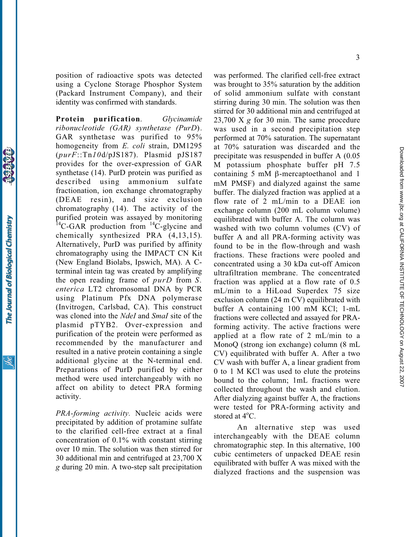position of radioactive spots was detected using a Cyclone Storage Phosphor System (Packard Instrument Company), and their identity was confirmed with standards.

Protein purification. Glycinamide ribonucleotide (GAR) synthetase (PurD). GAR synthetase was purified to 95% homogeneity from E. coli strain, DM1295 (purF::Tn10d/pJS187). Plasmid pJS187 provides for the over-expression of GAR synthetase (14). PurD protein was purified as described using ammonium sulfate fractionation, ion exchange chromatography (DEAE resin), and size exclusion chromatography (14). The activity of the purified protein was assayed by monitoring  $^{14}$ C-GAR production from  $^{14}$ C-glycine and chemically synthesized PRA (4,13,15). Alternatively, PurD was purified by affinity chromatography using the IMPACT CN Kit (New England Biolabs, Ipswich, MA). A Cterminal intein tag was created by amplifying the open reading frame of  $purD$  from  $S$ . enterica LT2 chromosomal DNA by PCR using Platinum Pfx DNA polymerase (Invitrogen, Carlsbad, CA). This construct was cloned into the *NdeI* and *SmaI* site of the plasmid pTYB2. Over-expression and purification of the protein were performed as recommended by the manufacturer and resulted in a native protein containing a single additional glycine at the N-terminal end. Preparations of PurD purified by either method were used interchangeably with no affect on ability to detect PRA forming activity.

The Journal of Biological Chemistry

PRA-forming activity. Nucleic acids were precipitated by addition of protamine sulfate to the clarified cell-free extract at a final concentration of 0.1% with constant stirring over 10 min. The solution was then stirred for 30 additional min and centrifuged at 23,700 X g during 20 min. A two-step salt precipitation was performed. The clarified cell-free extract was brought to 35% saturation by the addition of solid ammonium sulfate with constant stirring during 30 min. The solution was then stirred for 30 additional min and centrifuged at 23,700 X  $\varrho$  for 30 min. The same procedure was used in a second precipitation step performed at 70% saturation. The supernatant at 70% saturation was discarded and the precipitate was resuspended in buffer A (0.05 M potassium phosphate buffer pH 7.5 containing 5 mM  $\beta$ -mercaptoethanol and 1 mM PMSF) and dialyzed against the same buffer. The dialyzed fraction was applied at a flow rate of 2 mL/min to a DEAE ion exchange column (200 mL column volume) equilibrated with buffer A. The column was washed with two column volumes (CV) of buffer A and all PRA-forming activity was found to be in the flow-through and wash fractions. These fractions were pooled and concentrated using a 30 kDa cut-off Amicon ultrafiltration membrane. The concentrated fraction was applied at a flow rate of 0.5 mL/min to a HiLoad Superdex 75 size exclusion column (24 m CV) equilibrated with buffer A containing 100 mM KCl; 1-mL fractions were collected and assayed for PRAforming activity. The active fractions were applied at a flow rate of 2 mL/min to a MonoQ (strong ion exchange) column (8 mL CV) equilibrated with buffer A. After a two CV wash with buffer A, a linear gradient from 0 to 1 M KCl was used to elute the proteins bound to the column; 1mL fractions were collected throughout the wash and elution. After dialyzing against buffer A, the fractions were tested for PRA-forming activity and stored at  $4^{\circ}$ C.

An alternative step was used interchangeably with the DEAE column chromatographic step. In this alternative, 100 cubic centimeters of unpacked DEAE resin equilibrated with buffer A was mixed with the dialyzed fractions and the suspension was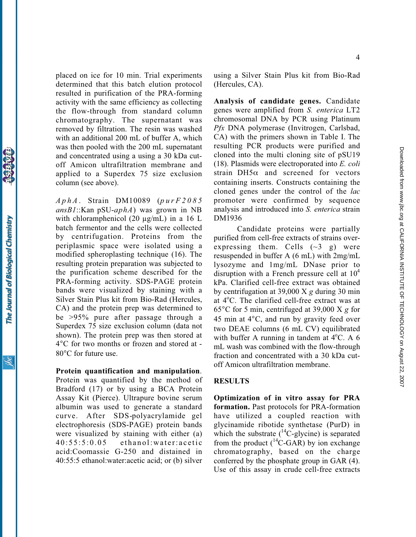placed on ice for 10 min. Trial experiments determined that this batch elution protocol resulted in purification of the PRA-forming activity with the same efficiency as collecting the flow-through from standard column chromatography. The supernatant was removed by filtration. The resin was washed with an additional 200 mL of buffer A, which was then pooled with the 200 mL supernatant and concentrated using a using a 30 kDa cutoff Amicon ultrafiltration membrane and applied to a Superdex 75 size exclusion column (see above).

 $AphA$ . Strain DM10089 (purF2085)  $ansBl$ ::Kan pSU-aphA) was grown in NB with chloramphenicol (20  $\mu$ g/mL) in a 16 L batch fermentor and the cells were collected by centrifugation. Proteins from the periplasmic space were isolated using a modified spheroplasting technique (16). The resulting protein preparation was subjected to the purification scheme described for the PRA-forming activity. SDS-PAGE protein bands were visualized by staining with a Silver Stain Plus kit from Bio-Rad (Hercules, CA) and the protein prep was determined to be >95% pure after passage through a Superdex 75 size exclusion column (data not shown). The protein prep was then stored at 4°C for two months or frozen and stored at - 80°C for future use.

## Protein quantification and manipulation.

Protein was quantified by the method of Bradford (17) or by using a BCA Protein Assay Kit (Pierce). Ultrapure bovine serum albumin was used to generate a standard curve. After SDS-polyacrylamide gel electrophoresis (SDS-PAGE) protein bands were visualized by staining with either (a) 40:55:5:0.05 ethanol:water:acetic acid:Coomassie G-250 and distained in 40:55:5 ethanol:water:acetic acid; or (b) silver

using a Silver Stain Plus kit from Bio-Rad (Hercules, CA).

Analysis of candidate genes. Candidate genes were amplified from S. enterica LT2 chromosomal DNA by PCR using Platinum Pfx DNA polymerase (Invitrogen, Carlsbad, CA) with the primers shown in Table I. The resulting PCR products were purified and cloned into the multi cloning site of pSU19 (18). Plasmids were electroporated into E. coli strain  $DH5\alpha$  and screened for vectors containing inserts. Constructs containing the cloned genes under the control of the lac promoter were confirmed by sequence analysis and introduced into S. enterica strain DM1936

Candidate proteins were partially purified from cell-free extracts of strains overexpressing them. Cells  $(\sim 3 \text{ g})$  were resuspended in buffer A (6 mL) with 2mg/mL lysozyme and 1mg/mL DNase prior to disruption with a French pressure cell at  $10<sup>4</sup>$ kPa. Clarified cell-free extract was obtained by centrifugation at 39,000 X g during 30 min at 4°C. The clarified cell-free extract was at 65°C for 5 min, centrifuged at 39,000 X g for 45 min at 4°C, and run by gravity feed over two DEAE columns (6 mL CV) equilibrated with buffer A running in tandem at  $4^{\circ}$ C. A 6 mL wash was combined with the flow-through fraction and concentrated with a 30 kDa cutoff Amicon ultrafiltration membrane.

#### RESULTS

Optimization of in vitro assay for PRA formation. Past protocols for PRA-formation have utilized a coupled reaction with glycinamide ribotide synthetase (PurD) in which the substrate  $(^{14}C$ -glycine) is separated from the product  $(^{14}C\text{-}GAR)$  by ion exchange chromatography, based on the charge conferred by the phosphate group in GAR (4). Use of this assay in crude cell-free extracts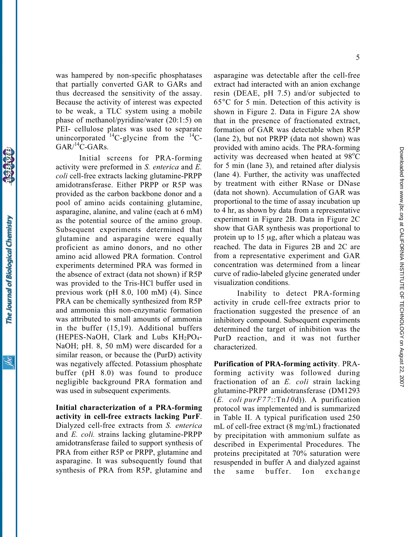The Journal of Biological Chemistry

was hampered by non-specific phosphatases that partially converted GAR to GARs and thus decreased the sensitivity of the assay. Because the activity of interest was expected to be weak, a TLC system using a mobile phase of methanol/pyridine/water (20:1:5) on PEI- cellulose plates was used to separate unincorporated  ${}^{14}C$ -glycine from the  ${}^{14}C$ - $GAR/{}^{14}C-GARs.$ 

Initial screens for PRA-forming activity were preformed in S. enterica and E. coli cell-free extracts lacking glutamine-PRPP amidotransferase. Either PRPP or R5P was provided as the carbon backbone donor and a pool of amino acids containing glutamine, asparagine, alanine, and valine (each at 6 mM) as the potential source of the amino group. Subsequent experiments determined that glutamine and asparagine were equally proficient as amino donors, and no other amino acid allowed PRA formation. Control experiments determined PRA was formed in the absence of extract (data not shown) if R5P was provided to the Tris-HCl buffer used in previous work (pH 8.0, 100 mM) (4). Since PRA can be chemically synthesized from R5P and ammonia this non-enzymatic formation was attributed to small amounts of ammonia in the buffer (15,19). Additional buffers (HEPES-NaOH, Clark and Lubs  $KH_2PO_4$ -NaOH; pH. 8, 50 mM) were discarded for a similar reason, or because the (PurD) activity was negatively affected. Potassium phosphate buffer (pH 8.0) was found to produce negligible background PRA formation and was used in subsequent experiments.

Initial characterization of a PRA-forming activity in cell-free extracts lacking PurF. Dialyzed cell-free extracts from S. enterica and E. coli. strains lacking glutamine-PRPP amidotransferase failed to support synthesis of PRA from either R5P or PRPP, glutamine and asparagine. It was subsequently found that synthesis of PRA from R5P, glutamine and

asparagine was detectable after the cell-free extract had interacted with an anion exchange resin (DEAE, pH 7.5) and/or subjected to 65°C for 5 min. Detection of this activity is shown in Figure 2. Data in Figure 2A show that in the presence of fractionated extract, formation of GAR was detectable when R5P (lane 2), but not PRPP (data not shown) was provided with amino acids. The PRA-forming activity was decreased when heated at  $98^{\circ}$ C for 5 min (lane 3), and retained after dialysis (lane 4). Further, the activity was unaffected by treatment with either RNase or DNase (data not shown). Accumulation of GAR was proportional to the time of assay incubation up to 4 hr, as shown by data from a representative experiment in Figure 2B. Data in Figure 2C show that GAR synthesis was proportional to protein up to 15 μg, after which a plateau was reached. The data in Figures 2B and 2C are from a representative experiment and GAR concentration was determined from a linear curve of radio-labeled glycine generated under visualization conditions.

Inability to detect PRA-forming activity in crude cell-free extracts prior to fractionation suggested the presence of an inhibitory compound. Subsequent experiments determined the target of inhibition was the PurD reaction, and it was not further characterized.

Purification of PRA-forming activity. PRAforming activity was followed during fractionation of an E. coli strain lacking glutamine-PRPP amidotransferase (DM1293 (E. coli  $purF77::Tn10d$ )). A purification protocol was implemented and is summarized in Table II. A typical purification used 250 mL of cell-free extract (8 mg/mL) fractionated by precipitation with ammonium sulfate as described in Experimental Procedures. The proteins precipitated at 70% saturation were resuspended in buffer A and dialyzed against the same buffer. Ion exchange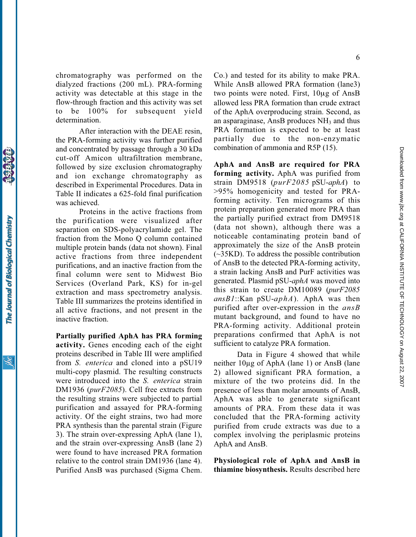chromatography was performed on the dialyzed fractions (200 mL). PRA-forming activity was detectable at this stage in the flow-through fraction and this activity was set to be 100% for subsequent yield determination.

After interaction with the DEAE resin, the PRA-forming activity was further purified and concentrated by passage through a 30 kDa cut-off Amicon ultrafiltration membrane, followed by size exclusion chromatography and ion exchange chromatography as described in Experimental Procedures. Data in Table II indicates a 625-fold final purification was achieved.

Proteins in the active fractions from the purification were visualized after separation on SDS-polyacrylamide gel. The fraction from the Mono Q column contained multiple protein bands (data not shown). Final active fractions from three independent purifications, and an inactive fraction from the final column were sent to Midwest Bio Services (Overland Park, KS) for in-gel extraction and mass spectrometry analysis. Table III summarizes the proteins identified in all active fractions, and not present in the inactive fraction.

Partially purified AphA has PRA forming activity. Genes encoding each of the eight proteins described in Table III were amplified from S. enterica and cloned into a pSU19 multi-copy plasmid. The resulting constructs were introduced into the S. enterica strain DM1936 (purF2085). Cell free extracts from the resulting strains were subjected to partial purification and assayed for PRA-forming activity. Of the eight strains, two had more PRA synthesis than the parental strain (Figure 3). The strain over-expressing AphA (lane 1), and the strain over-expressing AnsB (lane 2) were found to have increased PRA formation relative to the control strain DM1936 (lane 4). Purified AnsB was purchased (Sigma Chem.

Co.) and tested for its ability to make PRA. While AnsB allowed PRA formation (lane3) two points were noted. First, 10μg of AnsB allowed less PRA formation than crude extract of the AphA overproducing strain. Second, as an asparaginase, AnsB produces  $NH<sub>3</sub>$  and thus PRA formation is expected to be at least partially due to the non-enzymatic combination of ammonia and R5P (15).

AphA and AnsB are required for PRA forming activity. AphA was purified from strain DM9518 (purF2085 pSU-aphA) to >95% homogenicity and tested for PRAforming activity. Ten micrograms of this protein preparation generated more PRA than the partially purified extract from DM9518 (data not shown), although there was a noticeable contaminating protein band of approximately the size of the AnsB protein (~35KD). To address the possible contribution of AnsB to the detected PRA-forming activity, a strain lacking AnsB and PurF activities was generated. Plasmid pSU-aphA was moved into this strain to create DM10089 (purF2085  $ansB1::Kan pSU-aphA$ ). AphA was then purified after over-expression in the  $ansB$ mutant background, and found to have no PRA-forming activity. Additional protein preparations confirmed that AphA is not sufficient to catalyze PRA formation.

Data in Figure 4 showed that while neither 10µg of AphA (lane 1) or AnsB (lane 2) allowed significant PRA formation, a mixture of the two proteins did. In the presence of less than molar amounts of AnsB, AphA was able to generate significant amounts of PRA. From these data it was concluded that the PRA-forming activity purified from crude extracts was due to a complex involving the periplasmic proteins AphA and AnsB.

Physiological role of AphA and AnsB in thiamine biosynthesis. Results described here

The Journal of Biological Chemistry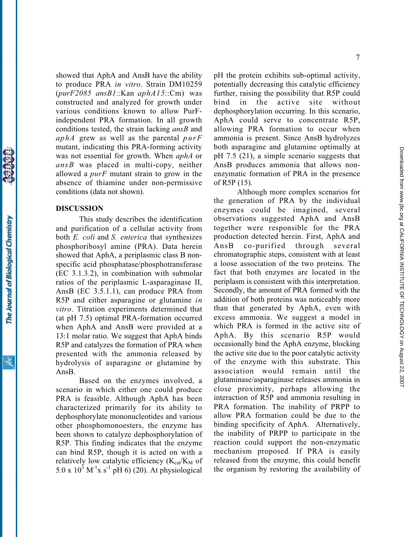to produce PRA in vitro. Strain DM10259  $(purF2085$  ansB1::Kan aphA15::Cm) was constructed and analyzed for growth under various conditions known to allow PurFindependent PRA formation. In all growth conditions tested, the strain lacking  $ansB$  and aphA grew as well as the parental  $p \mu rF$ mutant, indicating this PRA-forming activity was not essential for growth. When *aphA* or ansB was placed in multi-copy, neither allowed a  $purF$  mutant strain to grow in the absence of thiamine under non-permissive conditions (data not shown).

#### DISCUSSION

This study describes the identification and purification of a cellular activity from both *E. coli* and *S. enterica* that synthesizes phosphoribosyl amine (PRA). Data herein showed that AphA, a periplasmic class B nonspecific acid phosphatase/phosphotransferase (EC 3.1.3.2), in combination with submolar ratios of the periplasmic L-asparaginase II, AnsB (EC 3.5.1.1), can produce PRA from R5P and either asparagine or glutamine in vitro. Titration experiments determined that (at pH 7.5) optimal PRA-formation occurred when AphA and AnsB were provided at a 13:1 molar ratio. We suggest that AphA binds R5P and catalyzes the formation of PRA when presented with the ammonia released by hydrolysis of asparagine or glutamine by AnsB.

showed that AphA and AnsB have the ability

Based on the enzymes involved, a scenario in which either one could produce PRA is feasible. Although AphA has been characterized primarily for its ability to dephosphorylate mononucleotides and various other phosphomonoesters, the enzyme has been shown to catalyze dephosphorylation of R5P. This finding indicates that the enzyme can bind R5P, though it is acted on with a relatively low catalytic efficiency  $(K_{cat}/K_M)$  of 5.0 x  $10^3$  M<sup>-1</sup>x s<sup>-1</sup> pH 6) (20). At physiological

pH the protein exhibits sub-optimal activity, potentially decreasing this catalytic efficiency further, raising the possibility that R5P could bind in the active site without dephosphorylation occurring. In this scenario, AphA could serve to concentrate R5P, allowing PRA formation to occur when ammonia is present. Since AnsB hydrolyzes both asparagine and glutamine optimally at pH 7.5 (21), a simple scenario suggests that AnsB produces ammonia that allows nonenzymatic formation of PRA in the presence of R5P (15).

Although more complex scenarios for the generation of PRA by the individual enzymes could be imagined, several observations suggested AphA and AnsB together were responsible for the PRA production detected herein. First, AphA and AnsB co-purified through several chromatographic steps, consistent with at least a loose association of the two proteins. The fact that both enzymes are located in the periplasm is consistent with this interpretation. Secondly, the amount of PRA formed with the addition of both proteins was noticeably more than that generated by AphA, even with excess ammonia. We suggest a model in which PRA is formed in the active site of AphA. By this scenario R5P would occasionally bind the AphA enzyme, blocking the active site due to the poor catalytic activity of the enzyme with this substrate. This association would remain until the glutaminase/asparaginase releases ammonia in close proximity, perhaps allowing the interaction of R5P and ammonia resulting in PRA formation. The inability of PRPP to allow PRA formation could be due to the binding specificity of AphA. Alternatively, the inability of PRPP to participate in the reaction could support the non-enzymatic mechanism proposed. If PRA is easily released from the enzyme, this could benefit the organism by restoring the availability of

The Journal of Biological Chemistry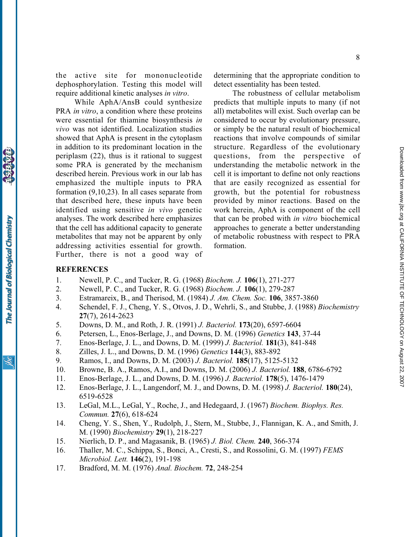the active site for mononucleotide dephosphorylation. Testing this model will require additional kinetic analyses in vitro.

While AphA/AnsB could synthesize PRA *in vitro*, a condition where these proteins were essential for thiamine biosynthesis in vivo was not identified. Localization studies showed that AphA is present in the cytoplasm in addition to its predominant location in the periplasm (22), thus is it rational to suggest some PRA is generated by the mechanism described herein. Previous work in our lab has emphasized the multiple inputs to PRA formation (9,10,23). In all cases separate from that described here, these inputs have been identified using sensitive in vivo genetic analyses. The work described here emphasizes that the cell has additional capacity to generate metabolites that may not be apparent by only addressing activities essential for growth. Further, there is not a good way of determining that the appropriate condition to detect essentiality has been tested.

The robustness of cellular metabolism predicts that multiple inputs to many (if not all) metabolites will exist. Such overlap can be considered to occur by evolutionary pressure, or simply be the natural result of biochemical reactions that involve compounds of similar structure. Regardless of the evolutionary questions, from the perspective of understanding the metabolic network in the cell it is important to define not only reactions that are easily recognized as essential for growth, but the potential for robustness provided by minor reactions. Based on the work herein, AphA is component of the cell that can be probed with in vitro biochemical approaches to generate a better understanding of metabolic robustness with respect to PRA formation.

# **REFERENCES**

- 1. Newell, P. C., and Tucker, R. G. (1968) Biochem. J. 106(1), 271-277
- 2. Newell, P. C., and Tucker, R. G. (1968) Biochem. J. 106(1), 279-287
- 3. Estramareix, B., and Therisod, M. (1984) J. Am. Chem. Soc. 106, 3857-3860
- 4. Schendel, F. J., Cheng, Y. S., Otvos, J. D., Wehrli, S., and Stubbe, J. (1988) Biochemistry 27(7), 2614-2623
- 5. Downs, D. M., and Roth, J. R. (1991) J. Bacteriol. 173(20), 6597-6604
- 6. Petersen, L., Enos-Berlage, J., and Downs, D. M. (1996) Genetics 143, 37-44
- 7. Enos-Berlage, J. L., and Downs, D. M. (1999) J. Bacteriol. 181(3), 841-848
- 8. Zilles, J. L., and Downs, D. M. (1996) Genetics 144(3), 883-892
- 9. Ramos, I., and Downs, D. M. (2003) J. Bacteriol. 185(17), 5125-5132
- 10. Browne, B. A., Ramos, A.I., and Downs, D. M. (2006) J. Bacteriol. 188, 6786-6792
- 11. Enos-Berlage, J. L., and Downs, D. M. (1996) J. Bacteriol. 178(5), 1476-1479
- 12. Enos-Berlage, J. L., Langendorf, M. J., and Downs, D. M. (1998) J. Bacteriol. 180(24), 6519-6528
- 13. LeGal, M.L., LeGal, Y., Roche, J., and Hedegaard, J. (1967) Biochem. Biophys. Res. Commun. 27(6), 618-624
- 14. Cheng, Y. S., Shen, Y., Rudolph, J., Stern, M., Stubbe, J., Flannigan, K. A., and Smith, J. M. (1990) Biochemistry 29(1), 218-227
- 15. Nierlich, D. P., and Magasanik, B. (1965) J. Biol. Chem. 240, 366-374
- 16. Thaller, M. C., Schippa, S., Bonci, A., Cresti, S., and Rossolini, G. M. (1997) FEMS Microbiol. Lett. 146(2), 191-198
- 17. Bradford, M. M. (1976) Anal. Biochem. 72, 248-254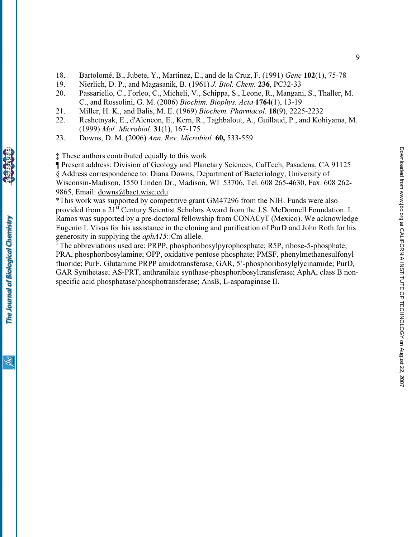- 18. Bartolomé, B., Jubete, Y., Martinez, E., and de la Cruz, F. (1991) Gene 102(1), 75-78
- 19. Nierlich, D. P., and Magasanik, B. (1961) J. Biol. Chem. 236, PC32-33
- 20. Passariello, C., Forleo, C., Micheli, V., Schippa, S., Leone, R., Mangani, S., Thaller, M. C., and Rossolini, G. M. (2006) Biochim. Biophys. Acta 1764(1), 13-19
- 21. Miller, H. K., and Balis, M. E. (1969) Biochem. Pharmacol. 18(9), 2225-2232
- 22. Reshetnyak, E., d'Alencon, E., Kern, R., Taghbalout, A., Guillaud, P., and Kohiyama, M. (1999) Mol. Microbiol. 31(1), 167-175
- 23. Downs, D. M. (2006) Ann. Rev. Microbiol. 60, 533-559

‡ These authors contributed equally to this work

¶ Present address: Division of Geology and Planetary Sciences, CalTech, Pasadena, CA 91125 § Address correspondence to: Diana Downs, Department of Bacteriology, University of Wisconsin-Madison, 1550 Linden Dr., Madison, WI 53706, Tel. 608 265-4630, Fax. 608 262- 9865, Email: downs@bact.wisc.edu

\*This work was supported by competitive grant GM47296 from the NIH. Funds were also provided from a 21<sup>st</sup> Century Scientist Scholars Award from the J.S. McDonnell Foundation. I. Ramos was supported by a pre-doctoral fellowship from CONACyT (Mexico). We acknowledge Eugenio I. Vivas for his assistance in the cloning and purification of PurD and John Roth for his generosity in supplying the aphA15::Cm allele.

The abbreviations used are: PRPP, phosphoribosylpyrophosphate; R5P, ribose-5-phosphate; PRA, phosphoribosylamine; OPP, oxidative pentose phosphate; PMSF, phenylmethanesulfonyl fluoride; PurF, Glutamine PRPP amidotransferase; GAR, 5'-phosphoribosylglycinamide; PurD, GAR Synthetase; AS-PRT, anthranilate synthase-phosphoribosyltransferase; AphA, class B nonspecific acid phosphatase/phosphotransferase; AnsB, L-asparaginase II.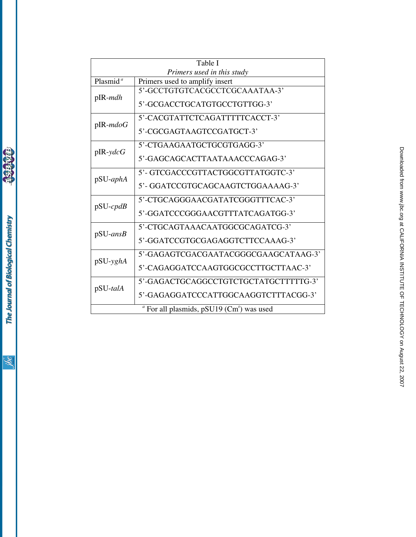| Table I                    |                                          |  |  |
|----------------------------|------------------------------------------|--|--|
| Primers used in this study |                                          |  |  |
| Plasmid $\overline{a}$     | Primers used to amplify insert           |  |  |
| $p$ IR- <i>mdh</i>         | 5'-GCCTGTGTCACGCCTCGCAAATAA-3'           |  |  |
|                            | 5'-GCGACCTGCATGTGCCTGTTGG-3'             |  |  |
| $p$ IR- $mdoG$             | 5'-CACGTATTCTCAGATTTTTCACCT-3'           |  |  |
|                            | 5'-CGCGAGTAAGTCCGATGCT-3'                |  |  |
| $p$ IR-ydcG                | 5'-CTGAAGAATGCTGCGTGAGG-3'               |  |  |
|                            | 5'-GAGCAGCACTTAATAAACCCAGAG-3'           |  |  |
| $pSU-aphA$                 | 5'- GTCGACCCGTTACTGGCGTTATGGTC-3'        |  |  |
|                            | 5'-GGATCCGTGCAGCAAGTCTGGAAAAG-3'         |  |  |
| $pSU-cpdB$                 | 5'-CTGCAGGGAACGATATCGGGTTTCAC-3'         |  |  |
|                            | 5'-GGATCCCGGGAACGTTTATCAGATGG-3'         |  |  |
| $pSU-ansB$                 | 5'-CTGCAGTAAACAATGGCGCAGATCG-3'          |  |  |
|                            | 5'-GGATCCGTGCGAGAGGTCTTCCAAAG-3'         |  |  |
| pSU-yghA                   | 5'-GAGAGTCGACGAATACGGGCGAAGCATAAG-3'     |  |  |
|                            | 5'-CAGAGGATCCAAGTGGCGCCTTGCTTAAC-3'      |  |  |
| pSU-talA                   | 5'-GAGACTGCAGGCCTGTCTGCTATGCTTTTTG-3'    |  |  |
|                            | 5'-GAGAGGATCCCATTGGCAAGGTCTTTACGG-3'     |  |  |
|                            | " For all plasmids, pSU19 (Cm') was used |  |  |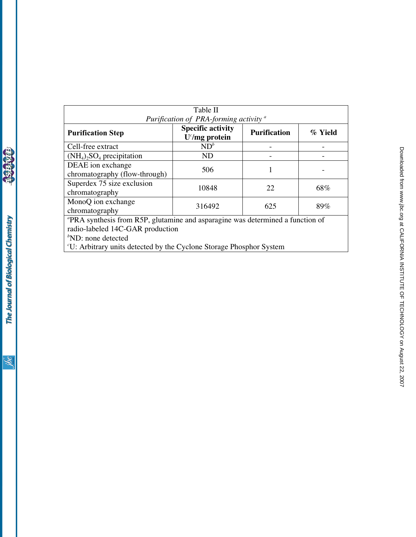|                                                                                | Table II                                     |                     |         |  |
|--------------------------------------------------------------------------------|----------------------------------------------|---------------------|---------|--|
| Purification of PRA-forming activity <sup>a</sup>                              |                                              |                     |         |  |
| <b>Purification Step</b>                                                       | <b>Specific activity</b><br>$U^c/mg$ protein | <b>Purification</b> | % Yield |  |
| Cell-free extract                                                              | $ND^b$                                       |                     |         |  |
| $(NH_4)$ <sub>2</sub> SO <sub>4</sub> precipitation                            | <b>ND</b>                                    |                     |         |  |
| DEAE ion exchange<br>chromatography (flow-through)                             | 506                                          |                     |         |  |
| Superdex 75 size exclusion<br>chromatography                                   | 10848                                        | 22                  | 68%     |  |
| MonoQ ion exchange<br>chromatography                                           | 316492                                       | 625                 | 89%     |  |
| "PRA synthesis from R5P, glutamine and asparagine was determined a function of |                                              |                     |         |  |
| radio-labeled 14C-GAR production                                               |                                              |                     |         |  |
| ${}^b$ ND: none detected                                                       |                                              |                     |         |  |
| "U: Arbitrary units detected by the Cyclone Storage Phosphor System            |                                              |                     |         |  |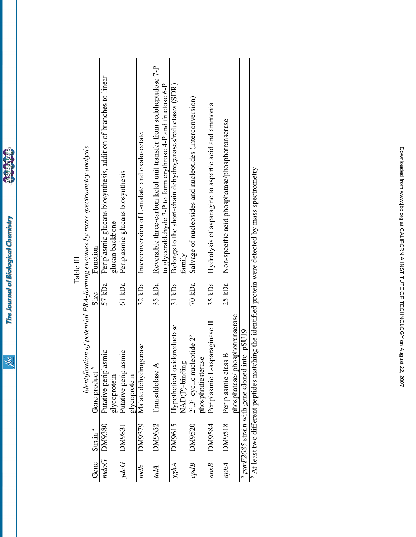jbc

**BARBAR**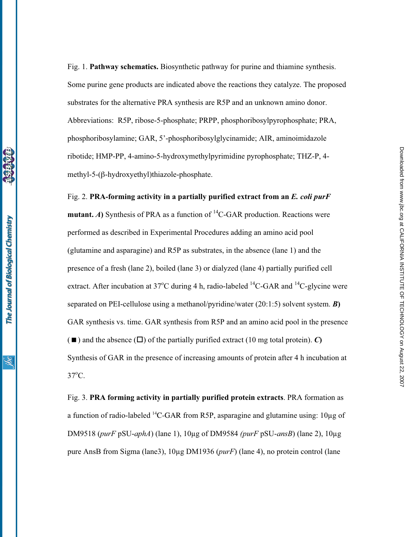Fig. 1. Pathway schematics. Biosynthetic pathway for purine and thiamine synthesis. Some purine gene products are indicated above the reactions they catalyze. The proposed substrates for the alternative PRA synthesis are R5P and an unknown amino donor. Abbreviations: R5P, ribose-5-phosphate; PRPP, phosphoribosylpyrophosphate; PRA, phosphoribosylamine; GAR, 5'-phosphoribosylglycinamide; AIR, aminoimidazole ribotide; HMP-PP, 4-amino-5-hydroxymethylpyrimidine pyrophosphate; THZ-P, 4 methyl-5-( $\beta$ -hydroxyethyl)thiazole-phosphate.

Fig. 2. PRA-forming activity in a partially purified extract from an E. coli purF **mutant.** A) Synthesis of PRA as a function of <sup>14</sup>C-GAR production. Reactions were performed as described in Experimental Procedures adding an amino acid pool (glutamine and asparagine) and R5P as substrates, in the absence (lane 1) and the presence of a fresh (lane 2), boiled (lane 3) or dialyzed (lane 4) partially purified cell extract. After incubation at 37°C during 4 h, radio-labeled  $^{14}$ C-GAR and  $^{14}$ C-glycine were separated on PEI-cellulose using a methanol/pyridine/water (20:1:5) solvent system. **B**) GAR synthesis vs. time. GAR synthesis from R5P and an amino acid pool in the presence  $(\blacksquare)$  and the absence  $(\square)$  of the partially purified extract (10 mg total protein). C) Synthesis of GAR in the presence of increasing amounts of protein after 4 h incubation at 37<sup>o</sup>C.

Fig. 3. PRA forming activity in partially purified protein extracts. PRA formation as a function of radio-labeled  $^{14}$ C-GAR from R5P, asparagine and glutamine using: 10 $\mu$ g of DM9518 (purF pSU-aphA) (lane 1),  $10\mu$ g of DM9584 (purF pSU-ansB) (lane 2),  $10\mu$ g pure AnsB from Sigma (lane3),  $10\mu$ g DM1936 (*purF*) (lane 4), no protein control (lane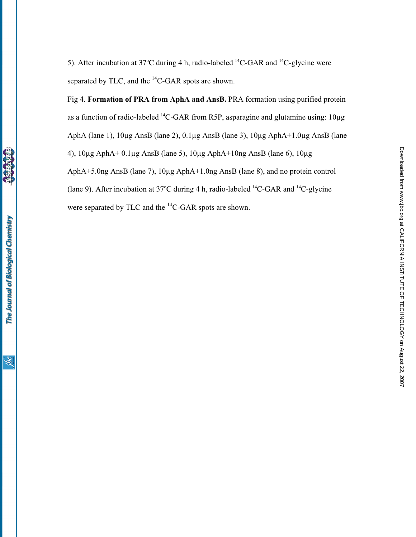5). After incubation at 37°C during 4 h, radio-labeled  ${}^{14}C$ -GAR and  ${}^{14}C$ -glycine were separated by TLC, and the <sup>14</sup>C-GAR spots are shown.

Fig 4. Formation of PRA from AphA and AnsB. PRA formation using purified protein as a function of radio-labeled  $^{14}$ C-GAR from R5P, asparagine and glutamine using:  $10\mu$ g AphA (lane 1), 10µg AnsB (lane 2), 0.1µg AnsB (lane 3), 10µg AphA+1.0µg AnsB (lane 4),  $10\mu$ g AphA+ 0.1 $\mu$ g AnsB (lane 5),  $10\mu$ g AphA+10ng AnsB (lane 6),  $10\mu$ g AphA+5.0ng AnsB (lane 7), 10µg AphA+1.0ng AnsB (lane 8), and no protein control (lane 9). After incubation at 37°C during 4 h, radio-labeled  ${}^{14}C$ -GAR and  ${}^{14}C$ -glycine were separated by TLC and the <sup>14</sup>C-GAR spots are shown.

<u>івс</u>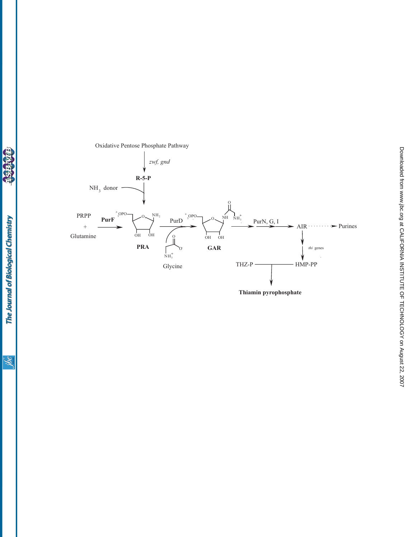$\circ$  $\circ$  $\frac{0}{11}$  $\begin{array}{c}\n \text{PRPP} \\
+\end{array}$ Glutamine **PRA**  $P$ **urF**  $\blacktriangleright$  Purines · HMP-PP  $\overline{1}$  $THZ-P$ Thiamin pyrophosphate PurD<sup>30PO</sup> $\vee$ <sup>ORU</sup> Glycine **GAR** PurN, G, I **R-5-P**  $NH<sub>3</sub>$  donor zwf, gnd *thi* genes  $_{OH}$   $_{OH}$  $n_{\rm NH_3^+}$  $\circ$  $^{2}$ <sub>3</sub>OPO  $\bigcup_{x \in \mathbb{R}^2} O_x$   $^{NH_2}$   $^{2}$ <sub>3</sub>OPO  $\overline{OH}$   $\overline{OH}$ 0  $_{\text{NH}_3^+}$  $^{2}$ <sub>3</sub>OPO

Oxidative Pentose Phosphate Pathway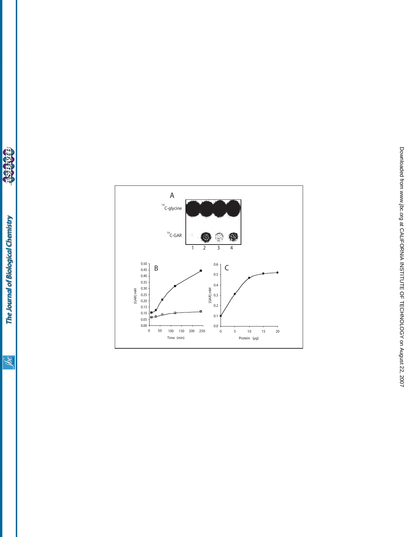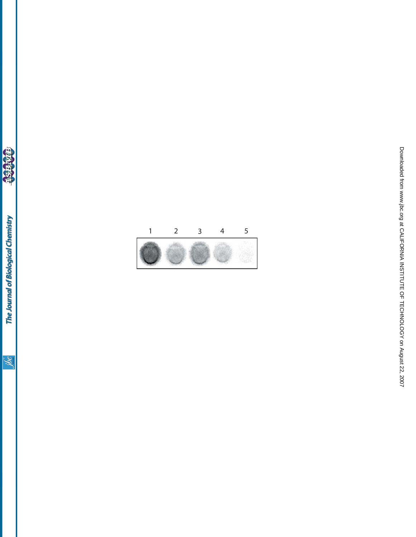

a Sisiwias